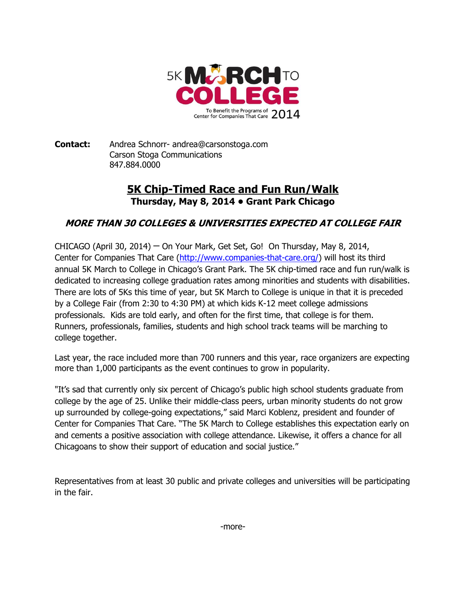

**Contact:** Andrea Schnorr- andrea@carsonstoga.com Carson Stoga Communications 847.884.0000

## **5K Chip-Timed Race and Fun Run/Walk Thursday, May 8, 2014 • Grant Park Chicago**

## **MORE THAN 30 COLLEGES & UNIVERSITIES EXPECTED AT COLLEGE FAIR**

CHICAGO (April 30, 2014) ─ On Your Mark, Get Set, Go! On Thursday, May 8, 2014, Center for Companies That Care [\(http://www.companies-that-care.org/\)](http://www.companies-that-care.org/) will host its third annual 5K March to College in Chicago's Grant Park. The 5K chip-timed race and fun run/walk is dedicated to increasing college graduation rates among minorities and students with disabilities. There are lots of 5Ks this time of year, but 5K March to College is unique in that it is preceded by a College Fair (from 2:30 to 4:30 PM) at which kids K-12 meet college admissions professionals. Kids are told early, and often for the first time, that college is for them. Runners, professionals, families, students and high school track teams will be marching to college together.

Last year, the race included more than 700 runners and this year, race organizers are expecting more than 1,000 participants as the event continues to grow in popularity.

"It's sad that currently only six percent of Chicago's public high school students graduate from college by the age of 25. Unlike their middle-class peers, urban minority students do not grow up surrounded by college-going expectations," said Marci Koblenz, president and founder of Center for Companies That Care. "The 5K March to College establishes this expectation early on and cements a positive association with college attendance. Likewise, it offers a chance for all Chicagoans to show their support of education and social justice."

Representatives from at least 30 public and private colleges and universities will be participating in the fair.